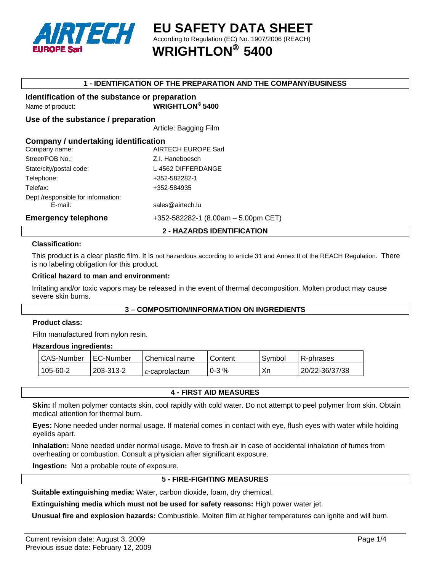

**EU SAFETY DATA SHEET**  According to Regulation (EC) No. 1907/2006 (REACH) ® **WRIGHTLON 5400** 

# **1 - IDENTIFICATION OF THE PREPARATION AND THE COMPANY/BUSINESS**

# **Identification of the substance or preparation**

Name of product: **WRIGHTLON**® **5400** 

#### **Use of the substance / preparation**

Article: Bagging Film

| Company / undertaking identification |                                     |  |  |
|--------------------------------------|-------------------------------------|--|--|
| Company name:                        | <b>AIRTECH EUROPE Sarl</b>          |  |  |
| Street/POB No.:                      | Z.I. Haneboesch                     |  |  |
| State/city/postal code:              | L-4562 DIFFERDANGE                  |  |  |
| Telephone:                           | +352-582282-1                       |  |  |
| Telefax:                             | +352-584935                         |  |  |
| Dept./responsible for information:   |                                     |  |  |
| E-mail:                              | sales@airtech.lu                    |  |  |
| <b>Emergency telephone</b>           | +352-582282-1 (8.00am - 5.00pm CET) |  |  |

# **2 - HAZARDS IDENTIFICATION**

#### **Classification:**

This product is a clear plastic film. It is not hazardous according to article 31 and Annex II of the REACH Regulation. There is no labeling obligation for this product.

#### **Critical hazard to man and environment:**

Irritating and/or toxic vapors may be released in the event of thermal decomposition. Molten product may cause severe skin burns.

# **3 – COMPOSITION/INFORMATION ON INGREDIENTS**

#### **Product class:**

Film manufactured from nylon resin.

#### **Hazardous ingredients:**

| CAS-Number | I EC-Number | Chemical name | Content    | Symbol | R-phrases      |
|------------|-------------|---------------|------------|--------|----------------|
| 105-60-2   | 203-313-2   | ε-caprolactam | $0 - 3 \%$ | Хn     | 20/22-36/37/38 |

**4 - FIRST AID MEASURES** 

**Skin:** If molten polymer contacts skin, cool rapidly with cold water. Do not attempt to peel polymer from skin. Obtain medical attention for thermal burn.

**Eyes:** None needed under normal usage. If material comes in contact with eye, flush eyes with water while holding eyelids apart.

**Inhalation:** None needed under normal usage. Move to fresh air in case of accidental inhalation of fumes from overheating or combustion. Consult a physician after significant exposure.

**Ingestion:** Not a probable route of exposure.

# **5 - FIRE-FIGHTING MEASURES**

**Suitable extinguishing media:** Water, carbon dioxide, foam, dry chemical.

**Extinguishing media which must not be used for safety reasons:** High power water jet.

**Unusual fire and explosion hazards:** Combustible. Molten film at higher temperatures can ignite and will burn.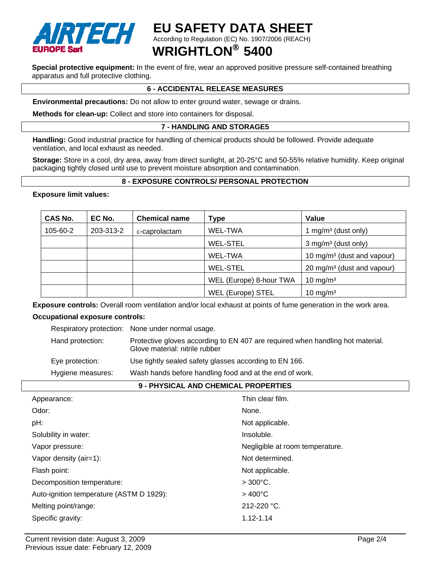

# **EU SAFETY DATA SHEET**

According to Regulation (EC) No. 1907/2006 (REACH)

# ® **WRIGHTLON 5400**

**Special protective equipment:** In the event of fire, wear an approved positive pressure self-contained breathing apparatus and full protective clothing.

# **6 - ACCIDENTAL RELEASE MEASURES**

**Environmental precautions:** Do not allow to enter ground water, sewage or drains.

**Methods for clean-up:** Collect and store into containers for disposal.

# **7 - HANDLING AND STORAGE5**

**Handling:** Good industrial practice for handling of chemical products should be followed. Provide adequate ventilation, and local exhaust as needed.

**Storage:** Store in a cool, dry area, away from direct sunlight, at 20-25°C and 50-55% relative humidity. Keep original packaging tightly closed until use to prevent moisture absorption and contamination.

# **8 - EXPOSURE CONTROLS/ PERSONAL PROTECTION**

#### **Exposure limit values:**

| <b>CAS No.</b> | EC No.    | <b>Chemical name</b>    | Type                    | Value                                  |
|----------------|-----------|-------------------------|-------------------------|----------------------------------------|
| 105-60-2       | 203-313-2 | $\epsilon$ -caprolactam | WEL-TWA                 | 1 mg/m <sup>3</sup> (dust only)        |
|                |           |                         | <b>WEL-STEL</b>         | $3$ mg/m <sup>3</sup> (dust only)      |
|                |           |                         | WEL-TWA                 | 10 mg/m <sup>3</sup> (dust and vapour) |
|                |           |                         | <b>WEL-STEL</b>         | 20 mg/m <sup>3</sup> (dust and vapour) |
|                |           |                         | WEL (Europe) 8-hour TWA | 10 mg/m $3$                            |
|                |           |                         | WEL (Europe) STEL       | 10 mg/m $3$                            |

**Exposure controls:** Overall room ventilation and/or local exhaust at points of fume generation in the work area.

#### **Occupational exposure controls:**

|                   | Respiratory protection: None under normal usage.                                                                 |
|-------------------|------------------------------------------------------------------------------------------------------------------|
| Hand protection:  | Protective gloves according to EN 407 are required when handling hot material.<br>Glove material: nitrile rubber |
| Eye protection:   | Use tightly sealed safety glasses according to EN 166.                                                           |
| Hygiene measures: | Wash hands before handling food and at the end of work.                                                          |

#### **9 - PHYSICAL AND CHEMICAL PROPERTIES**

| Appearance:                              | Thin clear film.                |
|------------------------------------------|---------------------------------|
| Odor:                                    | None.                           |
| pH:                                      | Not applicable.                 |
| Solubility in water:                     | Insoluble.                      |
| Vapor pressure:                          | Negligible at room temperature. |
| Vapor density (air=1):                   | Not determined.                 |
| Flash point:                             | Not applicable.                 |
| Decomposition temperature:               | $>300^{\circ}$ C.               |
| Auto-ignition temperature (ASTM D 1929): | $>400^{\circ}$ C                |
| Melting point/range:                     | $212 - 220$ °C.                 |
| Specific gravity:                        | $1.12 - 1.14$                   |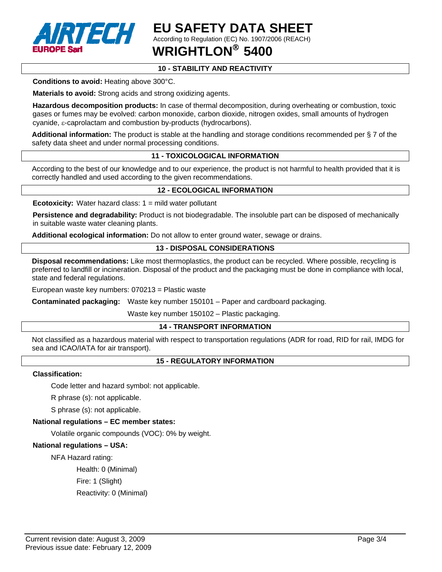

**EU SAFETY DATA SHEET**  According to Regulation (EC) No. 1907/2006 (REACH)

® **WRIGHTLON 5400** 

# **10 - STABILITY AND REACTIVITY**

**Conditions to avoid:** Heating above 300°C.

**Materials to avoid:** Strong acids and strong oxidizing agents.

**Hazardous decomposition products:** In case of thermal decomposition, during overheating or combustion, toxic gases or fumes may be evolved: carbon monoxide, carbon dioxide, nitrogen oxides, small amounts of hydrogen cyanide, ε-caprolactam and combustion by-products (hydrocarbons).

**Additional information:** The product is stable at the handling and storage conditions recommended per § 7 of the safety data sheet and under normal processing conditions.

# **11 - TOXICOLOGICAL INFORMATION**

According to the best of our knowledge and to our experience, the product is not harmful to health provided that it is correctly handled and used according to the given recommendations.

# **12 - ECOLOGICAL INFORMATION**

**Ecotoxicity:** Water hazard class: 1 = mild water pollutant

**Persistence and degradability:** Product is not biodegradable. The insoluble part can be disposed of mechanically in suitable waste water cleaning plants.

**Additional ecological information:** Do not allow to enter ground water, sewage or drains.

# **13 - DISPOSAL CONSIDERATIONS**

**Disposal recommendations:** Like most thermoplastics, the product can be recycled. Where possible, recycling is preferred to landfill or incineration. Disposal of the product and the packaging must be done in compliance with local, state and federal regulations.

European waste key numbers: 070213 = Plastic waste

**Contaminated packaging:** Waste key number 150101 – Paper and cardboard packaging.

Waste key number 150102 – Plastic packaging.

#### **14 - TRANSPORT INFORMATION**

Not classified as a hazardous material with respect to transportation regulations (ADR for road, RID for rail, IMDG for sea and ICAO/IATA for air transport).

# **15 - REGULATORY INFORMATION**

#### **Classification:**

Code letter and hazard symbol: not applicable.

R phrase (s): not applicable.

S phrase (s): not applicable.

#### **National regulations – EC member states:**

Volatile organic compounds (VOC): 0% by weight.

#### **National regulations – USA:**

NFA Hazard rating:

Health: 0 (Minimal)

Fire: 1 (Slight)

Reactivity: 0 (Minimal)